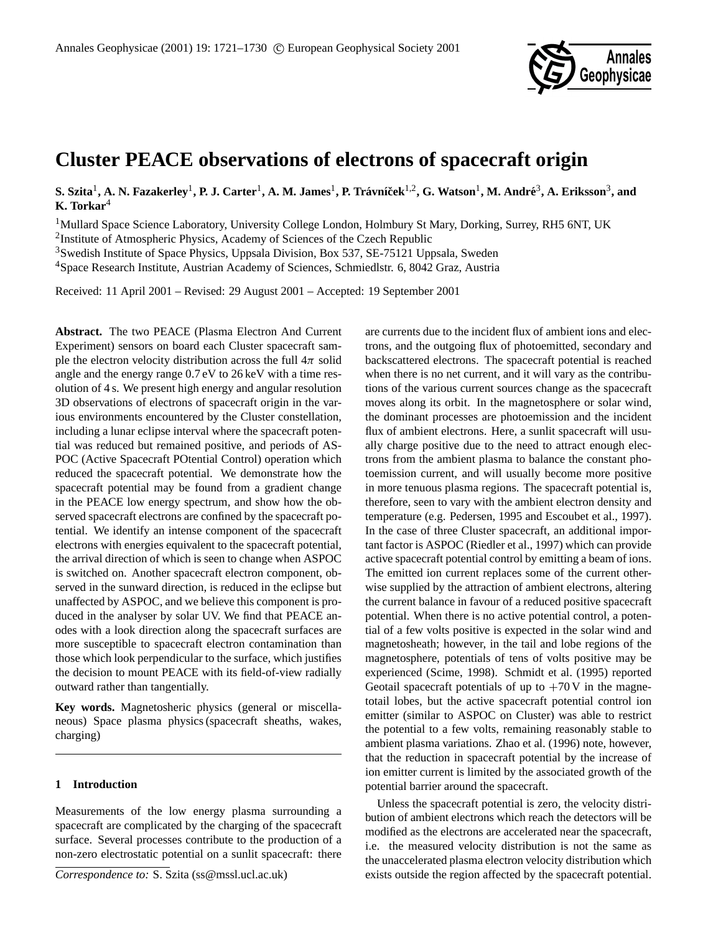

# **Cluster PEACE observations of electrons of spacecraft origin**

 ${\bf S. Szita}^1, {\bf A. N. Fazakerley}^1, {\bf P. J. Carter}^1, {\bf A. M. James}^1, {\bf P. Trávníček}^{1,2}, {\bf G. Watson}^1, {\bf M. André}^3, {\bf A. Eriksson}^3, {\bf and}$ **K. Torkar**<sup>4</sup>

<sup>1</sup>Mullard Space Science Laboratory, University College London, Holmbury St Mary, Dorking, Surrey, RH5 6NT, UK

<sup>2</sup>Institute of Atmospheric Physics, Academy of Sciences of the Czech Republic

<sup>3</sup>Swedish Institute of Space Physics, Uppsala Division, Box 537, SE-75121 Uppsala, Sweden

<sup>4</sup>Space Research Institute, Austrian Academy of Sciences, Schmiedlstr. 6, 8042 Graz, Austria

Received: 11 April 2001 – Revised: 29 August 2001 – Accepted: 19 September 2001

**Abstract.** The two PEACE (Plasma Electron And Current Experiment) sensors on board each Cluster spacecraft sample the electron velocity distribution across the full  $4\pi$  solid angle and the energy range 0.7 eV to 26 keV with a time resolution of 4 s. We present high energy and angular resolution 3D observations of electrons of spacecraft origin in the various environments encountered by the Cluster constellation, including a lunar eclipse interval where the spacecraft potential was reduced but remained positive, and periods of AS-POC (Active Spacecraft POtential Control) operation which reduced the spacecraft potential. We demonstrate how the spacecraft potential may be found from a gradient change in the PEACE low energy spectrum, and show how the observed spacecraft electrons are confined by the spacecraft potential. We identify an intense component of the spacecraft electrons with energies equivalent to the spacecraft potential, the arrival direction of which is seen to change when ASPOC is switched on. Another spacecraft electron component, observed in the sunward direction, is reduced in the eclipse but unaffected by ASPOC, and we believe this component is produced in the analyser by solar UV. We find that PEACE anodes with a look direction along the spacecraft surfaces are more susceptible to spacecraft electron contamination than those which look perpendicular to the surface, which justifies the decision to mount PEACE with its field-of-view radially outward rather than tangentially.

**Key words.** Magnetosheric physics (general or miscellaneous) Space plasma physics (spacecraft sheaths, wakes, charging)

# **1 Introduction**

Measurements of the low energy plasma surrounding a spacecraft are complicated by the charging of the spacecraft surface. Several processes contribute to the production of a non-zero electrostatic potential on a sunlit spacecraft: there

*Correspondence to:* S. Szita (ss@mssl.ucl.ac.uk)

are currents due to the incident flux of ambient ions and electrons, and the outgoing flux of photoemitted, secondary and backscattered electrons. The spacecraft potential is reached when there is no net current, and it will vary as the contributions of the various current sources change as the spacecraft moves along its orbit. In the magnetosphere or solar wind, the dominant processes are photoemission and the incident flux of ambient electrons. Here, a sunlit spacecraft will usually charge positive due to the need to attract enough electrons from the ambient plasma to balance the constant photoemission current, and will usually become more positive in more tenuous plasma regions. The spacecraft potential is, therefore, seen to vary with the ambient electron density and temperature (e.g. Pedersen, 1995 and Escoubet et al., 1997). In the case of three Cluster spacecraft, an additional important factor is ASPOC (Riedler et al., 1997) which can provide active spacecraft potential control by emitting a beam of ions. The emitted ion current replaces some of the current otherwise supplied by the attraction of ambient electrons, altering the current balance in favour of a reduced positive spacecraft potential. When there is no active potential control, a potential of a few volts positive is expected in the solar wind and magnetosheath; however, in the tail and lobe regions of the magnetosphere, potentials of tens of volts positive may be experienced (Scime, 1998). Schmidt et al. (1995) reported Geotail spacecraft potentials of up to  $+70$  V in the magnetotail lobes, but the active spacecraft potential control ion emitter (similar to ASPOC on Cluster) was able to restrict the potential to a few volts, remaining reasonably stable to ambient plasma variations. Zhao et al. (1996) note, however, that the reduction in spacecraft potential by the increase of ion emitter current is limited by the associated growth of the potential barrier around the spacecraft.

Unless the spacecraft potential is zero, the velocity distribution of ambient electrons which reach the detectors will be modified as the electrons are accelerated near the spacecraft, i.e. the measured velocity distribution is not the same as the unaccelerated plasma electron velocity distribution which exists outside the region affected by the spacecraft potential.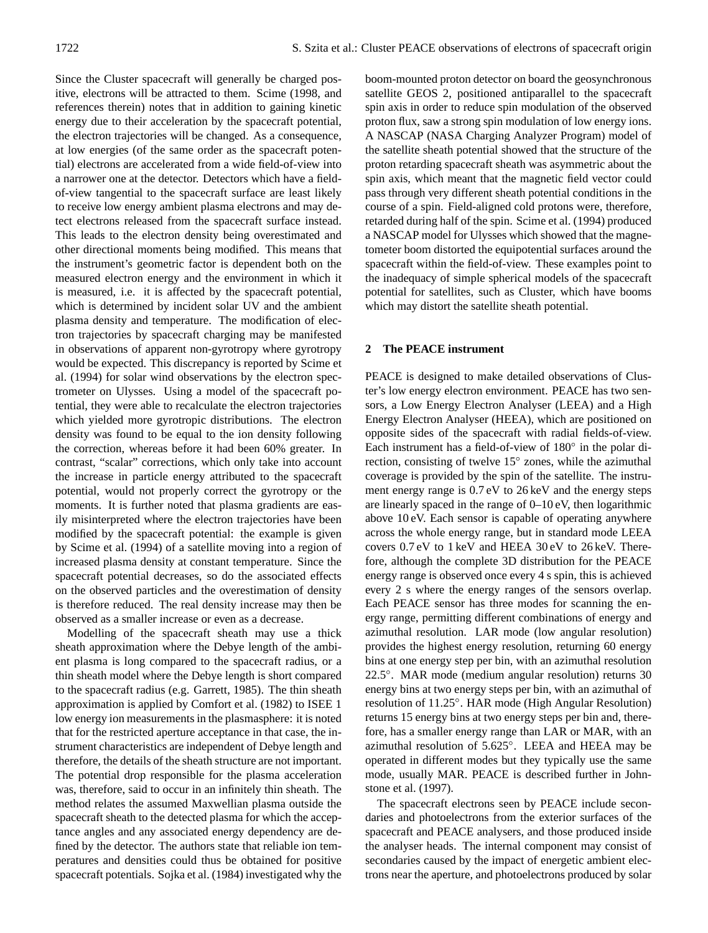Since the Cluster spacecraft will generally be charged positive, electrons will be attracted to them. Scime (1998, and references therein) notes that in addition to gaining kinetic energy due to their acceleration by the spacecraft potential, the electron trajectories will be changed. As a consequence, at low energies (of the same order as the spacecraft potential) electrons are accelerated from a wide field-of-view into a narrower one at the detector. Detectors which have a fieldof-view tangential to the spacecraft surface are least likely to receive low energy ambient plasma electrons and may detect electrons released from the spacecraft surface instead. This leads to the electron density being overestimated and other directional moments being modified. This means that the instrument's geometric factor is dependent both on the measured electron energy and the environment in which it is measured, i.e. it is affected by the spacecraft potential, which is determined by incident solar UV and the ambient plasma density and temperature. The modification of electron trajectories by spacecraft charging may be manifested in observations of apparent non-gyrotropy where gyrotropy would be expected. This discrepancy is reported by Scime et al. (1994) for solar wind observations by the electron spectrometer on Ulysses. Using a model of the spacecraft potential, they were able to recalculate the electron trajectories which yielded more gyrotropic distributions. The electron density was found to be equal to the ion density following the correction, whereas before it had been 60% greater. In contrast, "scalar" corrections, which only take into account the increase in particle energy attributed to the spacecraft potential, would not properly correct the gyrotropy or the moments. It is further noted that plasma gradients are easily misinterpreted where the electron trajectories have been modified by the spacecraft potential: the example is given by Scime et al. (1994) of a satellite moving into a region of increased plasma density at constant temperature. Since the spacecraft potential decreases, so do the associated effects on the observed particles and the overestimation of density is therefore reduced. The real density increase may then be observed as a smaller increase or even as a decrease.

Modelling of the spacecraft sheath may use a thick sheath approximation where the Debye length of the ambient plasma is long compared to the spacecraft radius, or a thin sheath model where the Debye length is short compared to the spacecraft radius (e.g. Garrett, 1985). The thin sheath approximation is applied by Comfort et al. (1982) to ISEE 1 low energy ion measurements in the plasmasphere: it is noted that for the restricted aperture acceptance in that case, the instrument characteristics are independent of Debye length and therefore, the details of the sheath structure are not important. The potential drop responsible for the plasma acceleration was, therefore, said to occur in an infinitely thin sheath. The method relates the assumed Maxwellian plasma outside the spacecraft sheath to the detected plasma for which the acceptance angles and any associated energy dependency are defined by the detector. The authors state that reliable ion temperatures and densities could thus be obtained for positive spacecraft potentials. Sojka et al. (1984) investigated why the boom-mounted proton detector on board the geosynchronous satellite GEOS 2, positioned antiparallel to the spacecraft spin axis in order to reduce spin modulation of the observed proton flux, saw a strong spin modulation of low energy ions. A NASCAP (NASA Charging Analyzer Program) model of the satellite sheath potential showed that the structure of the proton retarding spacecraft sheath was asymmetric about the spin axis, which meant that the magnetic field vector could pass through very different sheath potential conditions in the course of a spin. Field-aligned cold protons were, therefore, retarded during half of the spin. Scime et al. (1994) produced a NASCAP model for Ulysses which showed that the magnetometer boom distorted the equipotential surfaces around the spacecraft within the field-of-view. These examples point to the inadequacy of simple spherical models of the spacecraft potential for satellites, such as Cluster, which have booms which may distort the satellite sheath potential.

# **2 The PEACE instrument**

PEACE is designed to make detailed observations of Cluster's low energy electron environment. PEACE has two sensors, a Low Energy Electron Analyser (LEEA) and a High Energy Electron Analyser (HEEA), which are positioned on opposite sides of the spacecraft with radial fields-of-view. Each instrument has a field-of-view of 180◦ in the polar direction, consisting of twelve 15◦ zones, while the azimuthal coverage is provided by the spin of the satellite. The instrument energy range is 0.7 eV to 26 keV and the energy steps are linearly spaced in the range of 0–10 eV, then logarithmic above 10 eV. Each sensor is capable of operating anywhere across the whole energy range, but in standard mode LEEA covers 0.7 eV to 1 keV and HEEA 30 eV to 26 keV. Therefore, although the complete 3D distribution for the PEACE energy range is observed once every 4 s spin, this is achieved every 2 s where the energy ranges of the sensors overlap. Each PEACE sensor has three modes for scanning the energy range, permitting different combinations of energy and azimuthal resolution. LAR mode (low angular resolution) provides the highest energy resolution, returning 60 energy bins at one energy step per bin, with an azimuthal resolution 22.5◦ . MAR mode (medium angular resolution) returns 30 energy bins at two energy steps per bin, with an azimuthal of resolution of 11.25◦ . HAR mode (High Angular Resolution) returns 15 energy bins at two energy steps per bin and, therefore, has a smaller energy range than LAR or MAR, with an azimuthal resolution of 5.625◦ . LEEA and HEEA may be operated in different modes but they typically use the same mode, usually MAR. PEACE is described further in Johnstone et al. (1997).

The spacecraft electrons seen by PEACE include secondaries and photoelectrons from the exterior surfaces of the spacecraft and PEACE analysers, and those produced inside the analyser heads. The internal component may consist of secondaries caused by the impact of energetic ambient electrons near the aperture, and photoelectrons produced by solar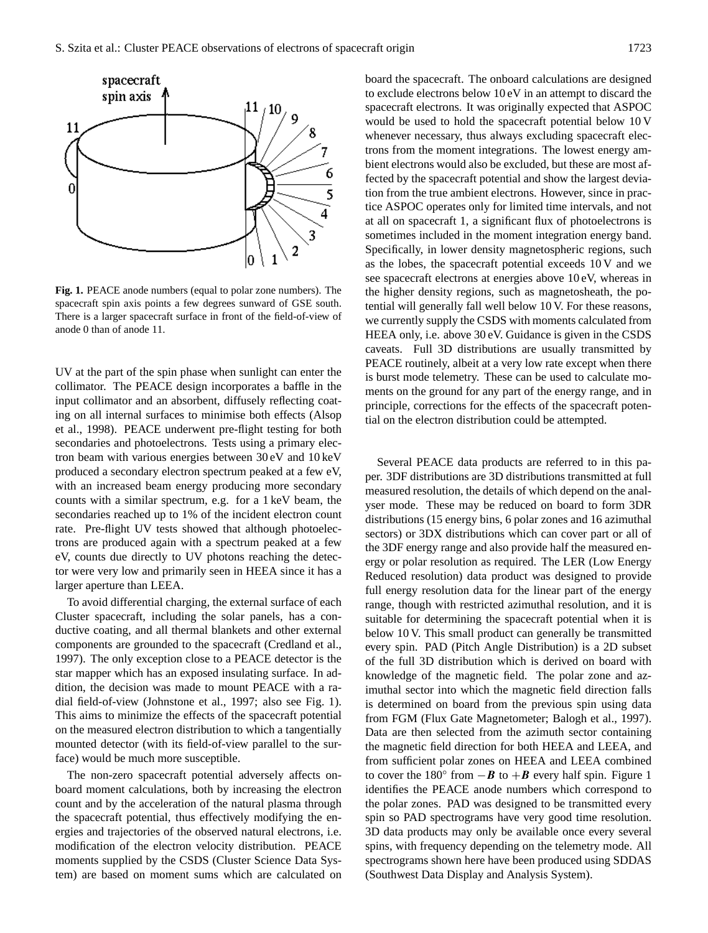

**Fig. 1.** PEACE anode numbers (equal to polar zone numbers). The spacecraft spin axis points a few degrees sunward of GSE south. There is a larger spacecraft surface in front of the field-of-view of anode 0 than of anode 11.

UV at the part of the spin phase when sunlight can enter the collimator. The PEACE design incorporates a baffle in the input collimator and an absorbent, diffusely reflecting coating on all internal surfaces to minimise both effects (Alsop et al., 1998). PEACE underwent pre-flight testing for both secondaries and photoelectrons. Tests using a primary electron beam with various energies between 30 eV and 10 keV produced a secondary electron spectrum peaked at a few eV, with an increased beam energy producing more secondary counts with a similar spectrum, e.g. for a 1 keV beam, the secondaries reached up to 1% of the incident electron count rate. Pre-flight UV tests showed that although photoelectrons are produced again with a spectrum peaked at a few eV, counts due directly to UV photons reaching the detector were very low and primarily seen in HEEA since it has a larger aperture than LEEA.

To avoid differential charging, the external surface of each Cluster spacecraft, including the solar panels, has a conductive coating, and all thermal blankets and other external components are grounded to the spacecraft (Credland et al., 1997). The only exception close to a PEACE detector is the star mapper which has an exposed insulating surface. In addition, the decision was made to mount PEACE with a radial field-of-view (Johnstone et al., 1997; also see Fig. 1). This aims to minimize the effects of the spacecraft potential on the measured electron distribution to which a tangentially mounted detector (with its field-of-view parallel to the surface) would be much more susceptible.

The non-zero spacecraft potential adversely affects onboard moment calculations, both by increasing the electron count and by the acceleration of the natural plasma through the spacecraft potential, thus effectively modifying the energies and trajectories of the observed natural electrons, i.e. modification of the electron velocity distribution. PEACE moments supplied by the CSDS (Cluster Science Data System) are based on moment sums which are calculated on board the spacecraft. The onboard calculations are designed to exclude electrons below 10 eV in an attempt to discard the spacecraft electrons. It was originally expected that ASPOC would be used to hold the spacecraft potential below 10 V whenever necessary, thus always excluding spacecraft electrons from the moment integrations. The lowest energy ambient electrons would also be excluded, but these are most affected by the spacecraft potential and show the largest deviation from the true ambient electrons. However, since in practice ASPOC operates only for limited time intervals, and not at all on spacecraft 1, a significant flux of photoelectrons is sometimes included in the moment integration energy band. Specifically, in lower density magnetospheric regions, such as the lobes, the spacecraft potential exceeds 10 V and we see spacecraft electrons at energies above 10 eV, whereas in the higher density regions, such as magnetosheath, the potential will generally fall well below 10 V. For these reasons, we currently supply the CSDS with moments calculated from HEEA only, i.e. above 30 eV. Guidance is given in the CSDS caveats. Full 3D distributions are usually transmitted by PEACE routinely, albeit at a very low rate except when there is burst mode telemetry. These can be used to calculate moments on the ground for any part of the energy range, and in principle, corrections for the effects of the spacecraft potential on the electron distribution could be attempted.

Several PEACE data products are referred to in this paper. 3DF distributions are 3D distributions transmitted at full measured resolution, the details of which depend on the analyser mode. These may be reduced on board to form 3DR distributions (15 energy bins, 6 polar zones and 16 azimuthal sectors) or 3DX distributions which can cover part or all of the 3DF energy range and also provide half the measured energy or polar resolution as required. The LER (Low Energy Reduced resolution) data product was designed to provide full energy resolution data for the linear part of the energy range, though with restricted azimuthal resolution, and it is suitable for determining the spacecraft potential when it is below 10 V. This small product can generally be transmitted every spin. PAD (Pitch Angle Distribution) is a 2D subset of the full 3D distribution which is derived on board with knowledge of the magnetic field. The polar zone and azimuthal sector into which the magnetic field direction falls is determined on board from the previous spin using data from FGM (Flux Gate Magnetometer; Balogh et al., 1997). Data are then selected from the azimuth sector containing the magnetic field direction for both HEEA and LEEA, and from sufficient polar zones on HEEA and LEEA combined to cover the 180 $\degree$  from  $-B$  to  $+B$  every half spin. Figure 1 identifies the PEACE anode numbers which correspond to the polar zones. PAD was designed to be transmitted every spin so PAD spectrograms have very good time resolution. 3D data products may only be available once every several spins, with frequency depending on the telemetry mode. All spectrograms shown here have been produced using SDDAS (Southwest Data Display and Analysis System).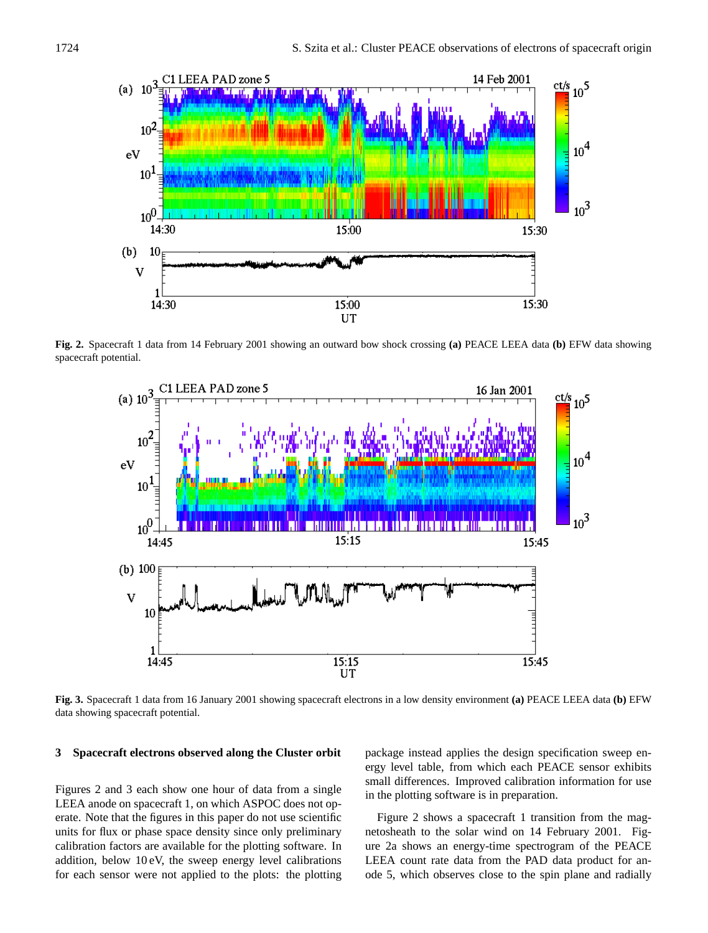

**Fig. 2.** Spacecraft 1 data from 14 February 2001 showing an outward bow shock crossing **(a)** PEACE LEEA data **(b)** EFW data showing spacecraft potential.



**Fig. 3.** Spacecraft 1 data from 16 January 2001 showing spacecraft electrons in a low density environment **(a)** PEACE LEEA data **(b)** EFW data showing spacecraft potential.

### **3 Spacecraft electrons observed along the Cluster orbit**

Figures 2 and 3 each show one hour of data from a single LEEA anode on spacecraft 1, on which ASPOC does not operate. Note that the figures in this paper do not use scientific units for flux or phase space density since only preliminary calibration factors are available for the plotting software. In addition, below 10 eV, the sweep energy level calibrations for each sensor were not applied to the plots: the plotting package instead applies the design specification sweep energy level table, from which each PEACE sensor exhibits small differences. Improved calibration information for use in the plotting software is in preparation.

Figure 2 shows a spacecraft 1 transition from the magnetosheath to the solar wind on 14 February 2001. Figure 2a shows an energy-time spectrogram of the PEACE LEEA count rate data from the PAD data product for anode 5, which observes close to the spin plane and radially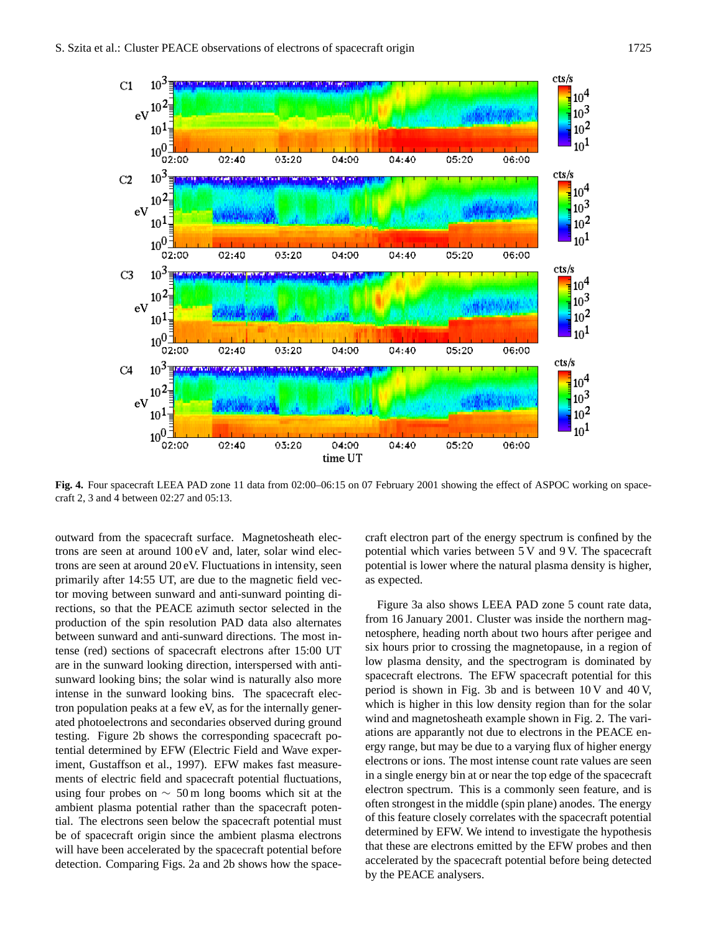

**Fig. 4.** Four spacecraft LEEA PAD zone 11 data from 02:00–06:15 on 07 February 2001 showing the effect of ASPOC working on spacecraft 2, 3 and 4 between 02:27 and 05:13.

outward from the spacecraft surface. Magnetosheath electrons are seen at around 100 eV and, later, solar wind electrons are seen at around 20 eV. Fluctuations in intensity, seen primarily after 14:55 UT, are due to the magnetic field vector moving between sunward and anti-sunward pointing directions, so that the PEACE azimuth sector selected in the production of the spin resolution PAD data also alternates between sunward and anti-sunward directions. The most intense (red) sections of spacecraft electrons after 15:00 UT are in the sunward looking direction, interspersed with antisunward looking bins; the solar wind is naturally also more intense in the sunward looking bins. The spacecraft electron population peaks at a few eV, as for the internally generated photoelectrons and secondaries observed during ground testing. Figure 2b shows the corresponding spacecraft potential determined by EFW (Electric Field and Wave experiment, Gustaffson et al., 1997). EFW makes fast measurements of electric field and spacecraft potential fluctuations, using four probes on  $\sim$  50 m long booms which sit at the ambient plasma potential rather than the spacecraft potential. The electrons seen below the spacecraft potential must be of spacecraft origin since the ambient plasma electrons will have been accelerated by the spacecraft potential before detection. Comparing Figs. 2a and 2b shows how the spacecraft electron part of the energy spectrum is confined by the potential which varies between 5 V and 9 V. The spacecraft potential is lower where the natural plasma density is higher, as expected.

Figure 3a also shows LEEA PAD zone 5 count rate data, from 16 January 2001. Cluster was inside the northern magnetosphere, heading north about two hours after perigee and six hours prior to crossing the magnetopause, in a region of low plasma density, and the spectrogram is dominated by spacecraft electrons. The EFW spacecraft potential for this period is shown in Fig. 3b and is between 10 V and 40 V, which is higher in this low density region than for the solar wind and magnetosheath example shown in Fig. 2. The variations are apparantly not due to electrons in the PEACE energy range, but may be due to a varying flux of higher energy electrons or ions. The most intense count rate values are seen in a single energy bin at or near the top edge of the spacecraft electron spectrum. This is a commonly seen feature, and is often strongest in the middle (spin plane) anodes. The energy of this feature closely correlates with the spacecraft potential determined by EFW. We intend to investigate the hypothesis that these are electrons emitted by the EFW probes and then accelerated by the spacecraft potential before being detected by the PEACE analysers.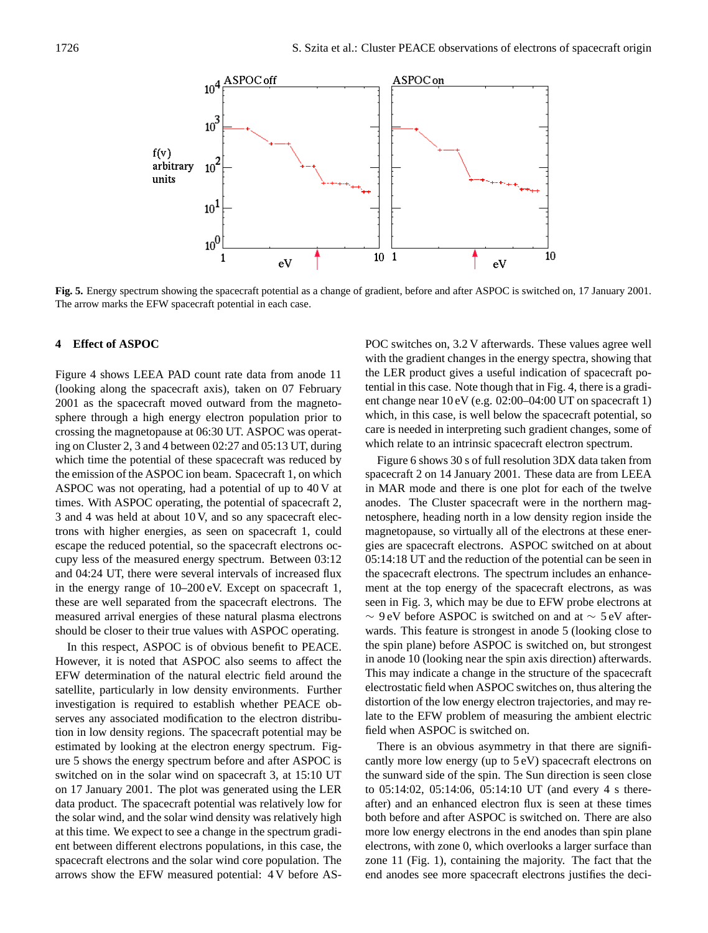

**Fig. 5.** Energy spectrum showing the spacecraft potential as a change of gradient, before and after ASPOC is switched on, 17 January 2001. The arrow marks the EFW spacecraft potential in each case.

#### **4 Effect of ASPOC**

Figure 4 shows LEEA PAD count rate data from anode 11 (looking along the spacecraft axis), taken on 07 February 2001 as the spacecraft moved outward from the magnetosphere through a high energy electron population prior to crossing the magnetopause at 06:30 UT. ASPOC was operating on Cluster 2, 3 and 4 between 02:27 and 05:13 UT, during which time the potential of these spacecraft was reduced by the emission of the ASPOC ion beam. Spacecraft 1, on which ASPOC was not operating, had a potential of up to 40 V at times. With ASPOC operating, the potential of spacecraft 2, 3 and 4 was held at about 10 V, and so any spacecraft electrons with higher energies, as seen on spacecraft 1, could escape the reduced potential, so the spacecraft electrons occupy less of the measured energy spectrum. Between 03:12 and 04:24 UT, there were several intervals of increased flux in the energy range of 10–200 eV. Except on spacecraft 1, these are well separated from the spacecraft electrons. The measured arrival energies of these natural plasma electrons should be closer to their true values with ASPOC operating.

In this respect, ASPOC is of obvious benefit to PEACE. However, it is noted that ASPOC also seems to affect the EFW determination of the natural electric field around the satellite, particularly in low density environments. Further investigation is required to establish whether PEACE observes any associated modification to the electron distribution in low density regions. The spacecraft potential may be estimated by looking at the electron energy spectrum. Figure 5 shows the energy spectrum before and after ASPOC is switched on in the solar wind on spacecraft 3, at 15:10 UT on 17 January 2001. The plot was generated using the LER data product. The spacecraft potential was relatively low for the solar wind, and the solar wind density was relatively high at this time. We expect to see a change in the spectrum gradient between different electrons populations, in this case, the spacecraft electrons and the solar wind core population. The arrows show the EFW measured potential: 4 V before AS- POC switches on, 3.2 V afterwards. These values agree well with the gradient changes in the energy spectra, showing that the LER product gives a useful indication of spacecraft potential in this case. Note though that in Fig. 4, there is a gradient change near 10 eV (e.g. 02:00–04:00 UT on spacecraft 1) which, in this case, is well below the spacecraft potential, so care is needed in interpreting such gradient changes, some of which relate to an intrinsic spacecraft electron spectrum.

Figure 6 shows 30 s of full resolution 3DX data taken from spacecraft 2 on 14 January 2001. These data are from LEEA in MAR mode and there is one plot for each of the twelve anodes. The Cluster spacecraft were in the northern magnetosphere, heading north in a low density region inside the magnetopause, so virtually all of the electrons at these energies are spacecraft electrons. ASPOC switched on at about 05:14:18 UT and the reduction of the potential can be seen in the spacecraft electrons. The spectrum includes an enhancement at the top energy of the spacecraft electrons, as was seen in Fig. 3, which may be due to EFW probe electrons at ∼ 9 eV before ASPOC is switched on and at ∼ 5 eV afterwards. This feature is strongest in anode 5 (looking close to the spin plane) before ASPOC is switched on, but strongest in anode 10 (looking near the spin axis direction) afterwards. This may indicate a change in the structure of the spacecraft electrostatic field when ASPOC switches on, thus altering the distortion of the low energy electron trajectories, and may relate to the EFW problem of measuring the ambient electric field when ASPOC is switched on.

There is an obvious asymmetry in that there are significantly more low energy (up to 5 eV) spacecraft electrons on the sunward side of the spin. The Sun direction is seen close to 05:14:02, 05:14:06, 05:14:10 UT (and every 4 s thereafter) and an enhanced electron flux is seen at these times both before and after ASPOC is switched on. There are also more low energy electrons in the end anodes than spin plane electrons, with zone 0, which overlooks a larger surface than zone 11 (Fig. 1), containing the majority. The fact that the end anodes see more spacecraft electrons justifies the deci-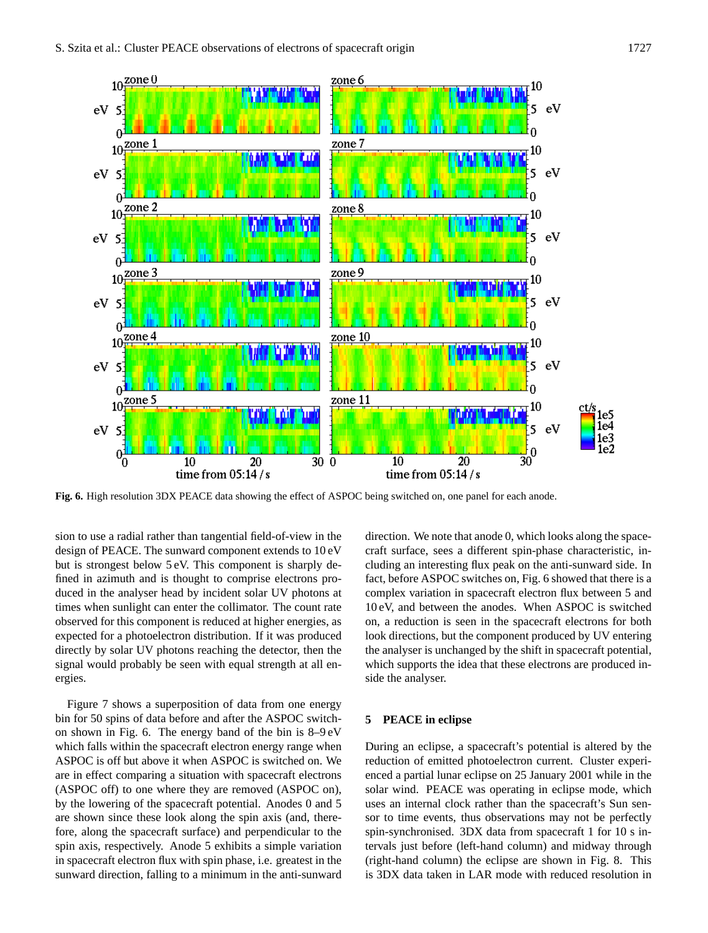

**Fig. 6.** High resolution 3DX PEACE data showing the effect of ASPOC being switched on, one panel for each anode.

sion to use a radial rather than tangential field-of-view in the design of PEACE. The sunward component extends to 10 eV but is strongest below 5 eV. This component is sharply defined in azimuth and is thought to comprise electrons produced in the analyser head by incident solar UV photons at times when sunlight can enter the collimator. The count rate observed for this component is reduced at higher energies, as expected for a photoelectron distribution. If it was produced directly by solar UV photons reaching the detector, then the signal would probably be seen with equal strength at all energies.

Figure 7 shows a superposition of data from one energy bin for 50 spins of data before and after the ASPOC switchon shown in Fig. 6. The energy band of the bin is 8–9 eV which falls within the spacecraft electron energy range when ASPOC is off but above it when ASPOC is switched on. We are in effect comparing a situation with spacecraft electrons (ASPOC off) to one where they are removed (ASPOC on), by the lowering of the spacecraft potential. Anodes 0 and 5 are shown since these look along the spin axis (and, therefore, along the spacecraft surface) and perpendicular to the spin axis, respectively. Anode 5 exhibits a simple variation in spacecraft electron flux with spin phase, i.e. greatest in the sunward direction, falling to a minimum in the anti-sunward

direction. We note that anode 0, which looks along the spacecraft surface, sees a different spin-phase characteristic, including an interesting flux peak on the anti-sunward side. In fact, before ASPOC switches on, Fig. 6 showed that there is a complex variation in spacecraft electron flux between 5 and 10 eV, and between the anodes. When ASPOC is switched on, a reduction is seen in the spacecraft electrons for both look directions, but the component produced by UV entering the analyser is unchanged by the shift in spacecraft potential, which supports the idea that these electrons are produced inside the analyser.

# **5 PEACE in eclipse**

During an eclipse, a spacecraft's potential is altered by the reduction of emitted photoelectron current. Cluster experienced a partial lunar eclipse on 25 January 2001 while in the solar wind. PEACE was operating in eclipse mode, which uses an internal clock rather than the spacecraft's Sun sensor to time events, thus observations may not be perfectly spin-synchronised. 3DX data from spacecraft 1 for 10 s intervals just before (left-hand column) and midway through (right-hand column) the eclipse are shown in Fig. 8. This is 3DX data taken in LAR mode with reduced resolution in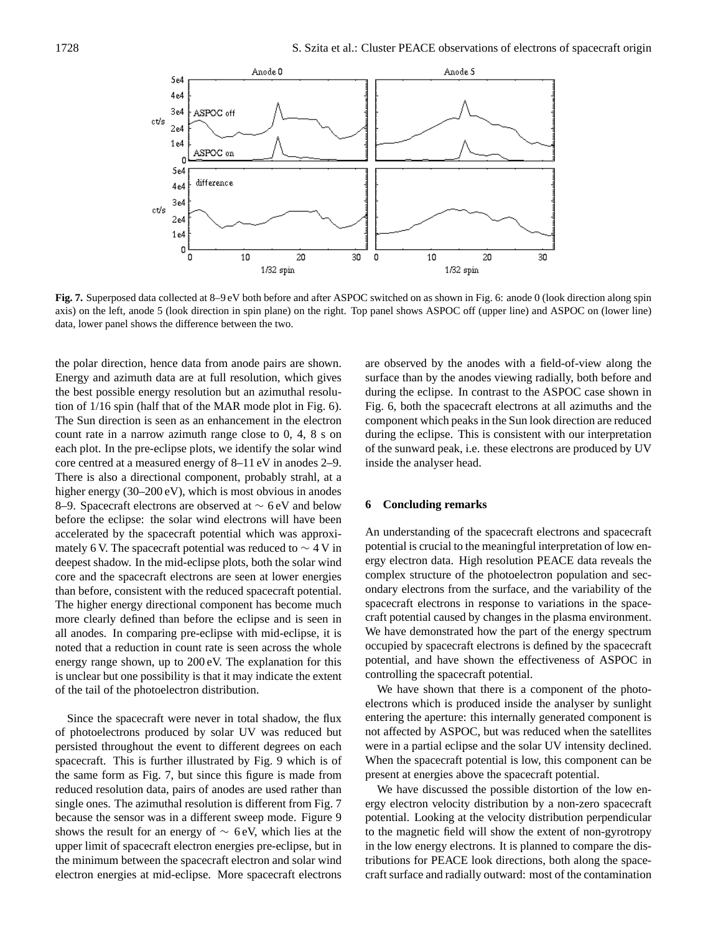

**Fig. 7.** Superposed data collected at 8–9 eV both before and after ASPOC switched on as shown in Fig. 6: anode 0 (look direction along spin axis) on the left, anode 5 (look direction in spin plane) on the right. Top panel shows ASPOC off (upper line) and ASPOC on (lower line) data, lower panel shows the difference between the two.

the polar direction, hence data from anode pairs are shown. Energy and azimuth data are at full resolution, which gives the best possible energy resolution but an azimuthal resolution of 1/16 spin (half that of the MAR mode plot in Fig. 6). The Sun direction is seen as an enhancement in the electron count rate in a narrow azimuth range close to 0, 4, 8 s on each plot. In the pre-eclipse plots, we identify the solar wind core centred at a measured energy of 8–11 eV in anodes 2–9. There is also a directional component, probably strahl, at a higher energy (30–200 eV), which is most obvious in anodes 8–9. Spacecraft electrons are observed at ∼ 6 eV and below before the eclipse: the solar wind electrons will have been accelerated by the spacecraft potential which was approximately 6 V. The spacecraft potential was reduced to  $\sim$  4 V in deepest shadow. In the mid-eclipse plots, both the solar wind core and the spacecraft electrons are seen at lower energies than before, consistent with the reduced spacecraft potential. The higher energy directional component has become much more clearly defined than before the eclipse and is seen in all anodes. In comparing pre-eclipse with mid-eclipse, it is noted that a reduction in count rate is seen across the whole energy range shown, up to 200 eV. The explanation for this is unclear but one possibility is that it may indicate the extent of the tail of the photoelectron distribution.

Since the spacecraft were never in total shadow, the flux of photoelectrons produced by solar UV was reduced but persisted throughout the event to different degrees on each spacecraft. This is further illustrated by Fig. 9 which is of the same form as Fig. 7, but since this figure is made from reduced resolution data, pairs of anodes are used rather than single ones. The azimuthal resolution is different from Fig. 7 because the sensor was in a different sweep mode. Figure 9 shows the result for an energy of  $\sim$  6 eV, which lies at the upper limit of spacecraft electron energies pre-eclipse, but in the minimum between the spacecraft electron and solar wind electron energies at mid-eclipse. More spacecraft electrons are observed by the anodes with a field-of-view along the surface than by the anodes viewing radially, both before and during the eclipse. In contrast to the ASPOC case shown in Fig. 6, both the spacecraft electrons at all azimuths and the component which peaks in the Sun look direction are reduced during the eclipse. This is consistent with our interpretation of the sunward peak, i.e. these electrons are produced by UV inside the analyser head.

## **6 Concluding remarks**

An understanding of the spacecraft electrons and spacecraft potential is crucial to the meaningful interpretation of low energy electron data. High resolution PEACE data reveals the complex structure of the photoelectron population and secondary electrons from the surface, and the variability of the spacecraft electrons in response to variations in the spacecraft potential caused by changes in the plasma environment. We have demonstrated how the part of the energy spectrum occupied by spacecraft electrons is defined by the spacecraft potential, and have shown the effectiveness of ASPOC in controlling the spacecraft potential.

We have shown that there is a component of the photoelectrons which is produced inside the analyser by sunlight entering the aperture: this internally generated component is not affected by ASPOC, but was reduced when the satellites were in a partial eclipse and the solar UV intensity declined. When the spacecraft potential is low, this component can be present at energies above the spacecraft potential.

We have discussed the possible distortion of the low energy electron velocity distribution by a non-zero spacecraft potential. Looking at the velocity distribution perpendicular to the magnetic field will show the extent of non-gyrotropy in the low energy electrons. It is planned to compare the distributions for PEACE look directions, both along the spacecraft surface and radially outward: most of the contamination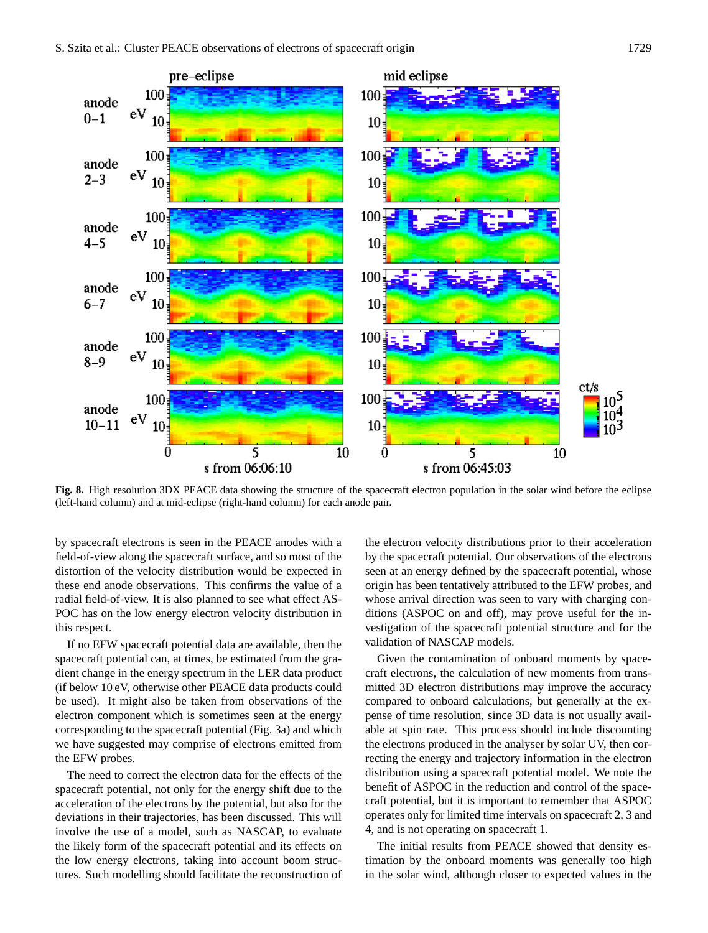

**Fig. 8.** High resolution 3DX PEACE data showing the structure of the spacecraft electron population in the solar wind before the eclipse (left-hand column) and at mid-eclipse (right-hand column) for each anode pair.

by spacecraft electrons is seen in the PEACE anodes with a field-of-view along the spacecraft surface, and so most of the distortion of the velocity distribution would be expected in these end anode observations. This confirms the value of a radial field-of-view. It is also planned to see what effect AS-POC has on the low energy electron velocity distribution in this respect.

If no EFW spacecraft potential data are available, then the spacecraft potential can, at times, be estimated from the gradient change in the energy spectrum in the LER data product (if below 10 eV, otherwise other PEACE data products could be used). It might also be taken from observations of the electron component which is sometimes seen at the energy corresponding to the spacecraft potential (Fig. 3a) and which we have suggested may comprise of electrons emitted from the EFW probes.

The need to correct the electron data for the effects of the spacecraft potential, not only for the energy shift due to the acceleration of the electrons by the potential, but also for the deviations in their trajectories, has been discussed. This will involve the use of a model, such as NASCAP, to evaluate the likely form of the spacecraft potential and its effects on the low energy electrons, taking into account boom structures. Such modelling should facilitate the reconstruction of the electron velocity distributions prior to their acceleration by the spacecraft potential. Our observations of the electrons seen at an energy defined by the spacecraft potential, whose origin has been tentatively attributed to the EFW probes, and whose arrival direction was seen to vary with charging conditions (ASPOC on and off), may prove useful for the investigation of the spacecraft potential structure and for the validation of NASCAP models.

Given the contamination of onboard moments by spacecraft electrons, the calculation of new moments from transmitted 3D electron distributions may improve the accuracy compared to onboard calculations, but generally at the expense of time resolution, since 3D data is not usually available at spin rate. This process should include discounting the electrons produced in the analyser by solar UV, then correcting the energy and trajectory information in the electron distribution using a spacecraft potential model. We note the benefit of ASPOC in the reduction and control of the spacecraft potential, but it is important to remember that ASPOC operates only for limited time intervals on spacecraft 2, 3 and 4, and is not operating on spacecraft 1.

The initial results from PEACE showed that density estimation by the onboard moments was generally too high in the solar wind, although closer to expected values in the